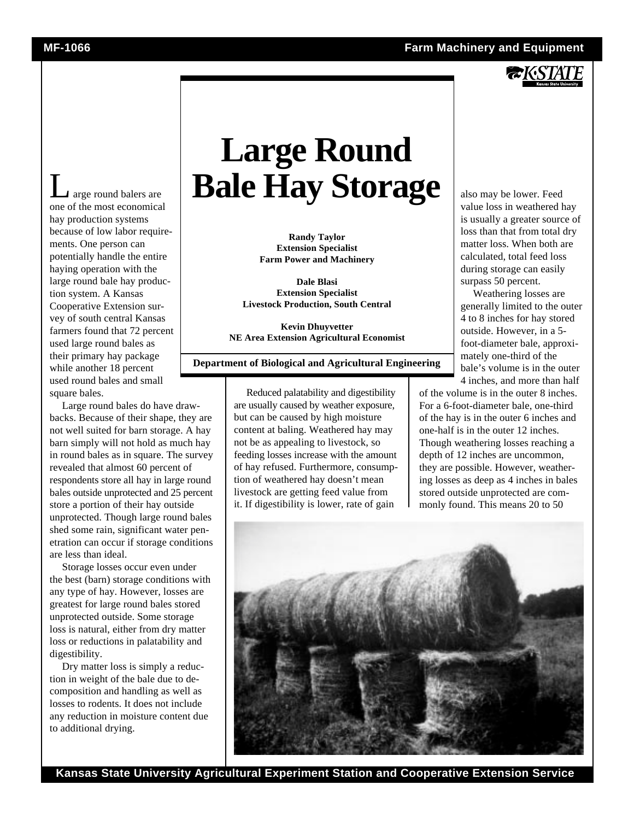

Large round balers are one of the most economical hay production systems because of low labor requirements. One person can potentially handle the entire haying operation with the large round bale hay production system. A Kansas Cooperative Extension survey of south central Kansas farmers found that 72 percent used large round bales as their primary hay package while another 18 percent used round bales and small square bales.

Large round bales do have drawbacks. Because of their shape, they are not well suited for barn storage. A hay barn simply will not hold as much hay in round bales as in square. The survey revealed that almost 60 percent of respondents store all hay in large round bales outside unprotected and 25 percent store a portion of their hay outside unprotected. Though large round bales shed some rain, significant water penetration can occur if storage conditions are less than ideal.

Storage losses occur even under the best (barn) storage conditions with any type of hay. However, losses are greatest for large round bales stored unprotected outside. Some storage loss is natural, either from dry matter loss or reductions in palatability and digestibility.

Dry matter loss is simply a reduction in weight of the bale due to decomposition and handling as well as losses to rodents. It does not include any reduction in moisture content due to additional drying.

# **Large Round Bale Hay Storage**

**Randy Taylor Extension Specialist Farm Power and Machinery**

**Dale Blasi Extension Specialist Livestock Production, South Central**

**Kevin Dhuyvetter NE Area Extension Agricultural Economist**

**Department of Biological and Agricultural Engineering**

Reduced palatability and digestibility are usually caused by weather exposure, but can be caused by high moisture content at baling. Weathered hay may not be as appealing to livestock, so feeding losses increase with the amount of hay refused. Furthermore, consumption of weathered hay doesn't mean livestock are getting feed value from it. If digestibility is lower, rate of gain

also may be lower. Feed value loss in weathered hay is usually a greater source of loss than that from total dry matter loss. When both are calculated, total feed loss during storage can easily surpass 50 percent.

Weathering losses are generally limited to the outer 4 to 8 inches for hay stored outside. However, in a 5 foot-diameter bale, approximately one-third of the bale's volume is in the outer 4 inches, and more than half

of the volume is in the outer 8 inches. For a 6-foot-diameter bale, one-third of the hay is in the outer 6 inches and one-half is in the outer 12 inches. Though weathering losses reaching a depth of 12 inches are uncommon, they are possible. However, weathering losses as deep as 4 inches in bales stored outside unprotected are commonly found. This means 20 to 50



**Kansas State University Agricultural Experiment Station and Cooperative Extension Service**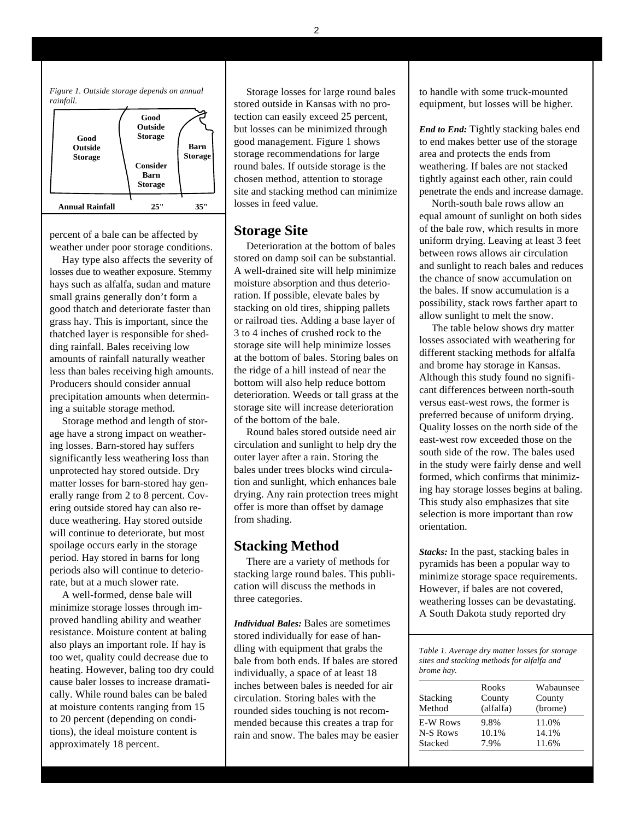*Figure 1. Outside storage depends on annual rainfall.*



Storage losses for large round bales stored outside in Kansas with no protection can easily exceed 25 percent, but losses can be minimized through good management. Figure 1 shows storage recommendations for large round bales. If outside storage is the chosen method, attention to storage site and stacking method can minimize losses in feed value.

#### **Storage Site**

Deterioration at the bottom of bales stored on damp soil can be substantial. A well-drained site will help minimize moisture absorption and thus deterioration. If possible, elevate bales by stacking on old tires, shipping pallets or railroad ties. Adding a base layer of 3 to 4 inches of crushed rock to the storage site will help minimize losses at the bottom of bales. Storing bales on the ridge of a hill instead of near the bottom will also help reduce bottom deterioration. Weeds or tall grass at the storage site will increase deterioration of the bottom of the bale.

Round bales stored outside need air circulation and sunlight to help dry the outer layer after a rain. Storing the bales under trees blocks wind circulation and sunlight, which enhances bale drying. Any rain protection trees might offer is more than offset by damage from shading.

## **Stacking Method**

There are a variety of methods for stacking large round bales. This publication will discuss the methods in three categories.

*Individual Bales:* Bales are sometimes stored individually for ease of handling with equipment that grabs the bale from both ends. If bales are stored individually, a space of at least 18 inches between bales is needed for air circulation. Storing bales with the rounded sides touching is not recommended because this creates a trap for rain and snow. The bales may be easier

to handle with some truck-mounted equipment, but losses will be higher.

*End to End:* Tightly stacking bales end to end makes better use of the storage area and protects the ends from weathering. If bales are not stacked tightly against each other, rain could penetrate the ends and increase damage.

North-south bale rows allow an equal amount of sunlight on both sides of the bale row, which results in more uniform drying. Leaving at least 3 feet between rows allows air circulation and sunlight to reach bales and reduces the chance of snow accumulation on the bales. If snow accumulation is a possibility, stack rows farther apart to allow sunlight to melt the snow.

The table below shows dry matter losses associated with weathering for different stacking methods for alfalfa and brome hay storage in Kansas. Although this study found no significant differences between north-south versus east-west rows, the former is preferred because of uniform drying. Quality losses on the north side of the east-west row exceeded those on the south side of the row. The bales used in the study were fairly dense and well formed, which confirms that minimizing hay storage losses begins at baling. This study also emphasizes that site selection is more important than row orientation.

*Stacks:* In the past, stacking bales in pyramids has been a popular way to minimize storage space requirements. However, if bales are not covered, weathering losses can be devastating. A South Dakota study reported dry

*Table 1. Average dry matter losses for storage sites and stacking methods for alfalfa and brome hay.*

|                 | Rooks     | Wabaunsee |
|-----------------|-----------|-----------|
| Stacking        | County    | County    |
| Method          | (alfalfa) | (brome)   |
| <b>E-W Rows</b> | 9.8%      | 11.0%     |
| N-S Rows        | 10.1%     | 14.1%     |
| Stacked         | 7.9%      | 11.6%     |

percent of a bale can be affected by weather under poor storage conditions.

Hay type also affects the severity of losses due to weather exposure. Stemmy hays such as alfalfa, sudan and mature small grains generally don't form a good thatch and deteriorate faster than grass hay. This is important, since the thatched layer is responsible for shedding rainfall. Bales receiving low amounts of rainfall naturally weather less than bales receiving high amounts. Producers should consider annual precipitation amounts when determining a suitable storage method.

Storage method and length of storage have a strong impact on weathering losses. Barn-stored hay suffers significantly less weathering loss than unprotected hay stored outside. Dry matter losses for barn-stored hay generally range from 2 to 8 percent. Covering outside stored hay can also reduce weathering. Hay stored outside will continue to deteriorate, but most spoilage occurs early in the storage period. Hay stored in barns for long periods also will continue to deteriorate, but at a much slower rate.

A well-formed, dense bale will minimize storage losses through improved handling ability and weather resistance. Moisture content at baling also plays an important role. If hay is too wet, quality could decrease due to heating. However, baling too dry could cause baler losses to increase dramatically. While round bales can be baled at moisture contents ranging from 15 to 20 percent (depending on conditions), the ideal moisture content is approximately 18 percent.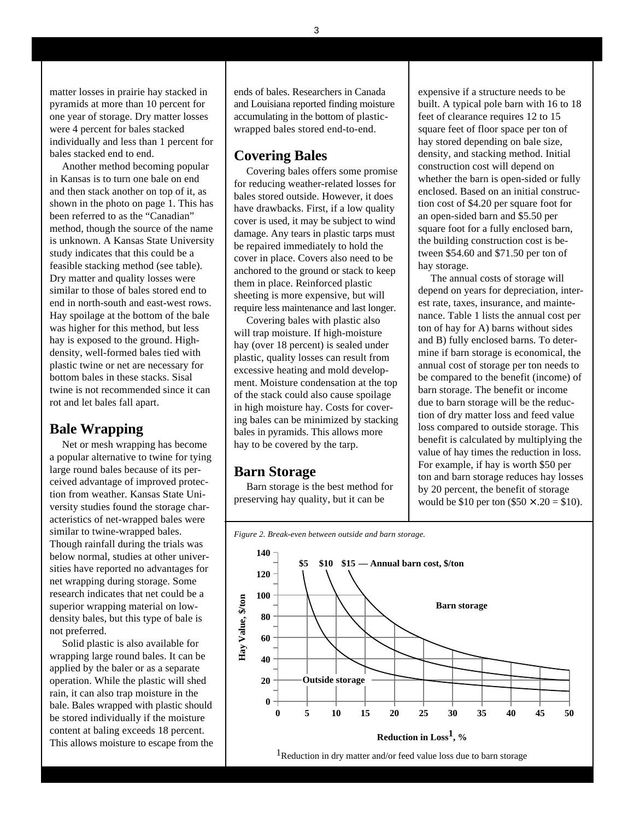matter losses in prairie hay stacked in pyramids at more than 10 percent for one year of storage. Dry matter losses were 4 percent for bales stacked individually and less than 1 percent for bales stacked end to end.

Another method becoming popular in Kansas is to turn one bale on end and then stack another on top of it, as shown in the photo on page 1. This has been referred to as the "Canadian" method, though the source of the name is unknown. A Kansas State University study indicates that this could be a feasible stacking method (see table). Dry matter and quality losses were similar to those of bales stored end to end in north-south and east-west rows. Hay spoilage at the bottom of the bale was higher for this method, but less hay is exposed to the ground. Highdensity, well-formed bales tied with plastic twine or net are necessary for bottom bales in these stacks. Sisal twine is not recommended since it can rot and let bales fall apart.

### **Bale Wrapping**

Net or mesh wrapping has become a popular alternative to twine for tying large round bales because of its perceived advantage of improved protection from weather. Kansas State University studies found the storage characteristics of net-wrapped bales were similar to twine-wrapped bales. Though rainfall during the trials was below normal, studies at other universities have reported no advantages for net wrapping during storage. Some research indicates that net could be a superior wrapping material on lowdensity bales, but this type of bale is not preferred.

Solid plastic is also available for wrapping large round bales. It can be applied by the baler or as a separate operation. While the plastic will shed rain, it can also trap moisture in the bale. Bales wrapped with plastic should be stored individually if the moisture content at baling exceeds 18 percent. This allows moisture to escape from the ends of bales. Researchers in Canada and Louisiana reported finding moisture accumulating in the bottom of plasticwrapped bales stored end-to-end.

#### **Covering Bales**

Covering bales offers some promise for reducing weather-related losses for bales stored outside. However, it does have drawbacks. First, if a low quality cover is used, it may be subject to wind damage. Any tears in plastic tarps must be repaired immediately to hold the cover in place. Covers also need to be anchored to the ground or stack to keep them in place. Reinforced plastic sheeting is more expensive, but will require less maintenance and last longer.

Covering bales with plastic also will trap moisture. If high-moisture hay (over 18 percent) is sealed under plastic, quality losses can result from excessive heating and mold development. Moisture condensation at the top of the stack could also cause spoilage in high moisture hay. Costs for covering bales can be minimized by stacking bales in pyramids. This allows more hay to be covered by the tarp.

#### **Barn Storage**

Barn storage is the best method for preserving hay quality, but it can be

expensive if a structure needs to be built. A typical pole barn with 16 to 18 feet of clearance requires 12 to 15 square feet of floor space per ton of hay stored depending on bale size, density, and stacking method. Initial construction cost will depend on whether the barn is open-sided or fully enclosed. Based on an initial construction cost of \$4.20 per square foot for an open-sided barn and \$5.50 per square foot for a fully enclosed barn, the building construction cost is between \$54.60 and \$71.50 per ton of hay storage.

The annual costs of storage will depend on years for depreciation, interest rate, taxes, insurance, and maintenance. Table 1 lists the annual cost per ton of hay for A) barns without sides and B) fully enclosed barns. To determine if barn storage is economical, the annual cost of storage per ton needs to be compared to the benefit (income) of barn storage. The benefit or income due to barn storage will be the reduction of dry matter loss and feed value loss compared to outside storage. This benefit is calculated by multiplying the value of hay times the reduction in loss. For example, if hay is worth \$50 per ton and barn storage reduces hay losses by 20 percent, the benefit of storage would be \$10 per ton  $(\$50 \times .20 = \$10)$ .





3